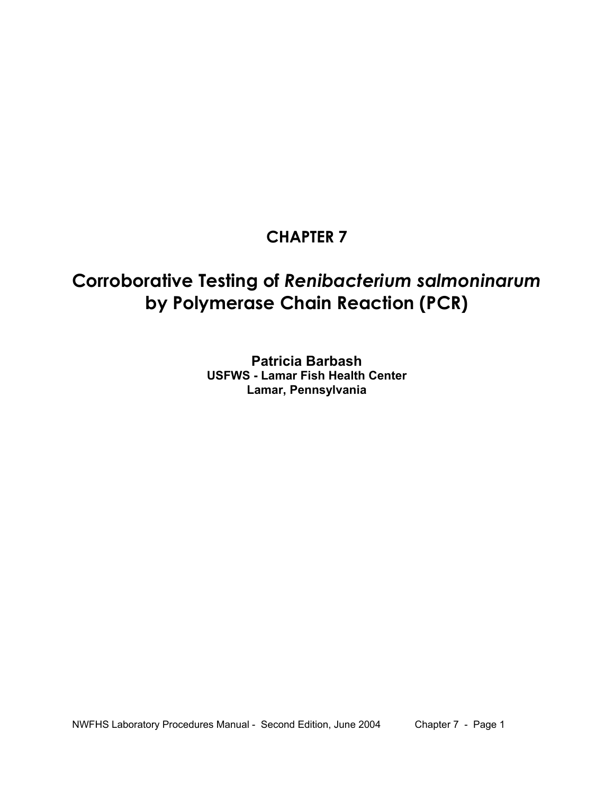# **CHAPTER 7**

# **Corroborative Testing of** *Renibacterium salmoninarum*  **by Polymerase Chain Reaction (PCR)**

**Patricia Barbash USFWS - Lamar Fish Health Center Lamar, Pennsylvania**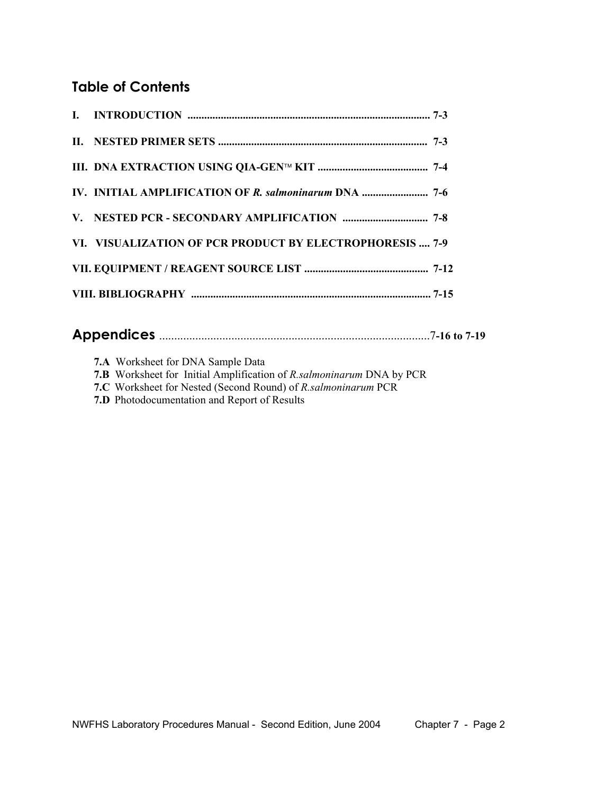# **Table of Contents**

| IV. INITIAL AMPLIFICATION OF R. salmoninarum DNA  7-6    |  |
|----------------------------------------------------------|--|
|                                                          |  |
| VI. VISUALIZATION OF PCR PRODUCT BY ELECTROPHORESIS  7-9 |  |
|                                                          |  |
|                                                          |  |

|--|--|

| <b>7.A</b> Worksheet for DNA Sample Data |  |
|------------------------------------------|--|
|------------------------------------------|--|

 **7.B** Worksheet for Initial Amplification of *R.salmoninarum* DNA by PCR

- **7.C** Worksheet for Nested (Second Round) of *R.salmoninarum* PCR
- **7.D** Photodocumentation and Report of Results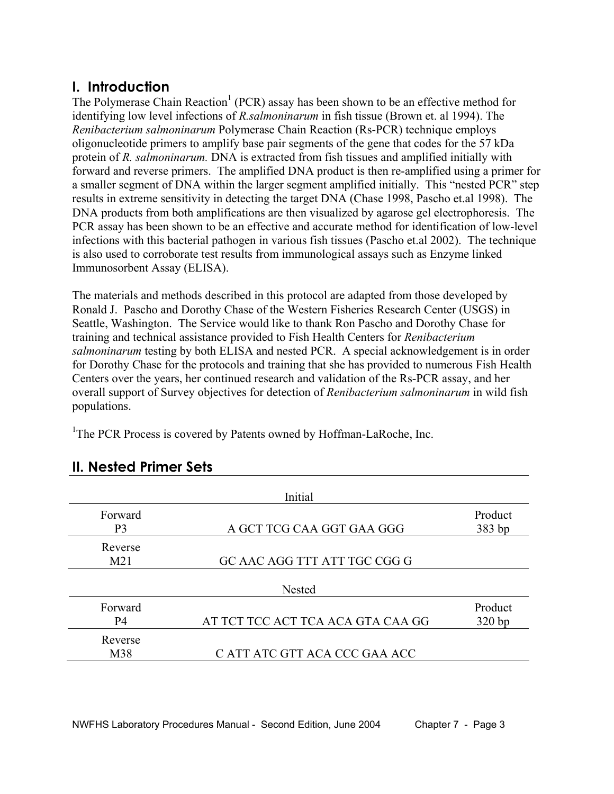# **I. Introduction**

The Polymerase Chain Reaction<sup>1</sup> (PCR) assay has been shown to be an effective method for identifying low level infections of *R.salmoninarum* in fish tissue (Brown et. al 1994). The *Renibacterium salmoninarum* Polymerase Chain Reaction (Rs-PCR) technique employs oligonucleotide primers to amplify base pair segments of the gene that codes for the 57 kDa protein of *R. salmoninarum.* DNA is extracted from fish tissues and amplified initially with forward and reverse primers. The amplified DNA product is then re-amplified using a primer for a smaller segment of DNA within the larger segment amplified initially. This "nested PCR" step results in extreme sensitivity in detecting the target DNA (Chase 1998, Pascho et.al 1998). The DNA products from both amplifications are then visualized by agarose gel electrophoresis. The PCR assay has been shown to be an effective and accurate method for identification of low-level infections with this bacterial pathogen in various fish tissues (Pascho et.al 2002). The technique is also used to corroborate test results from immunological assays such as Enzyme linked Immunosorbent Assay (ELISA).

The materials and methods described in this protocol are adapted from those developed by Ronald J. Pascho and Dorothy Chase of the Western Fisheries Research Center (USGS) in Seattle, Washington. The Service would like to thank Ron Pascho and Dorothy Chase for training and technical assistance provided to Fish Health Centers for *Renibacterium salmoninarum* testing by both ELISA and nested PCR. A special acknowledgement is in order for Dorothy Chase for the protocols and training that she has provided to numerous Fish Health Centers over the years, her continued research and validation of the Rs-PCR assay, and her overall support of Survey objectives for detection of *Renibacterium salmoninarum* in wild fish populations.

<sup>1</sup>The PCR Process is covered by Patents owned by Hoffman-LaRoche, Inc.

|                           | Initial                           |                   |
|---------------------------|-----------------------------------|-------------------|
| Forward<br>P <sub>3</sub> | A GCT TCG CAA GGT GAA GGG         | Product<br>383 bp |
| Reverse<br>M21            | GC AAC AGG TTT ATT TGC CGG G      |                   |
|                           | <b>Nested</b>                     |                   |
| Forward<br>P4             | AT TCT TCC ACT TCA ACA GTA CAA GG | Product<br>320bp  |
| Reverse<br>M38            | C ATT ATC GTT ACA CCC GAA ACC     |                   |

## **II. Nested Primer Sets**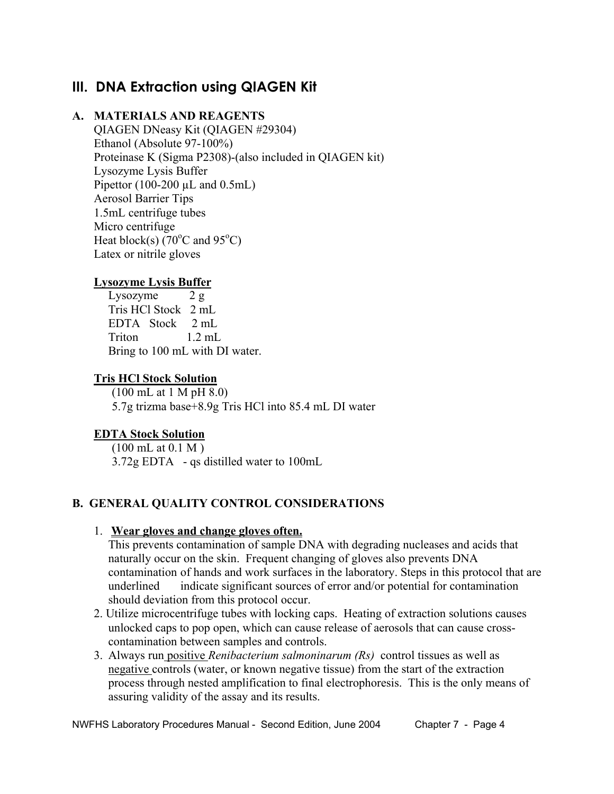# **III. DNA Extraction using QIAGEN Kit**

## **A. MATERIALS AND REAGENTS**

 QIAGEN DNeasy Kit (QIAGEN #29304) Ethanol (Absolute 97-100%) Proteinase K (Sigma P2308)-(also included in QIAGEN kit) Lysozyme Lysis Buffer Pipettor  $(100-200 \mu L$  and  $(0.5 \mu L)$  Aerosol Barrier Tips 1.5mL centrifuge tubes Micro centrifuge Heat block(s)  $(70^{\circ}$ C and 95<sup>°</sup>C) Latex or nitrile gloves

## **Lysozyme Lysis Buffer**

Lysozyme  $2 g$ Tris HCl Stock 2 mL EDTA Stock 2 mL Triton 1.2 mL Bring to 100 mL with DI water.

## **Tris HCl Stock Solution**

 (100 mL at 1 M pH 8.0) 5.7g trizma base+8.9g Tris HCl into 85.4 mL DI water

## **EDTA Stock Solution**

 (100 mL at 0.1 M ) 3.72g EDTA - qs distilled water to 100mL

## **B. GENERAL QUALITY CONTROL CONSIDERATIONS**

### 1. **Wear gloves and change gloves often.**

 This prevents contamination of sample DNA with degrading nucleases and acids that naturally occur on the skin. Frequent changing of gloves also prevents DNA contamination of hands and work surfaces in the laboratory. Steps in this protocol that are underlined indicate significant sources of error and/or potential for contamination should deviation from this protocol occur.

- 2. Utilize microcentrifuge tubes with locking caps. Heating of extraction solutions causes unlocked caps to pop open, which can cause release of aerosols that can cause crosscontamination between samples and controls.
- 3. Always run positive *Renibacterium salmoninarum (Rs)* control tissues as well as negative controls (water, or known negative tissue) from the start of the extraction process through nested amplification to final electrophoresis. This is the only means of assuring validity of the assay and its results.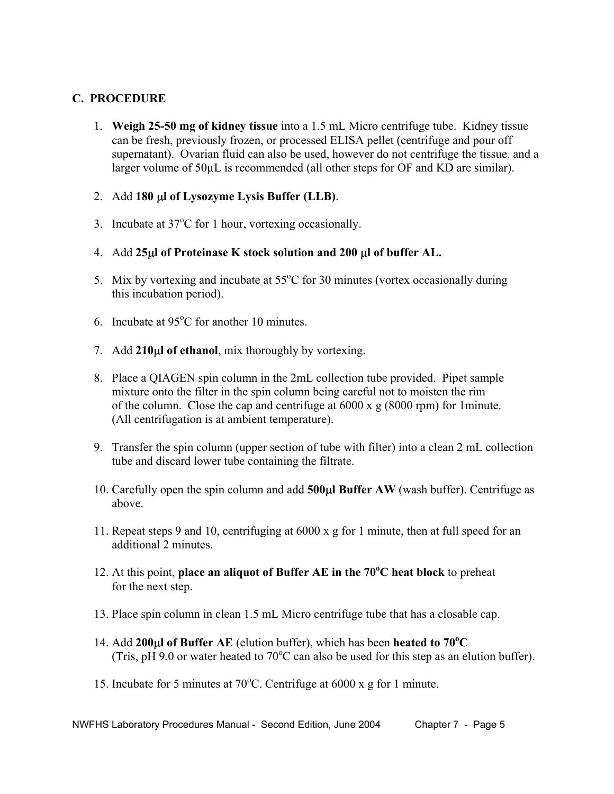## **C. PROCEDURE**

- 1. **Weigh 25-50 mg of kidney tissue** into a 1.5 mL Micro centrifuge tube. Kidney tissue can be fresh, previously frozen, or processed ELISA pellet (centrifuge and pour off supernatant). Ovarian fluid can also be used, however do not centrifuge the tissue, and a larger volume of 50µL is recommended (all other steps for OF and KD are similar).
- 2. Add **180** µ**l of Lysozyme Lysis Buffer (LLB)**.
- 3. Incubate at 37<sup>o</sup>C for 1 hour, vortexing occasionally.
	- 4. Add **25**µ**l of Proteinase K stock solution and 200** µ**l of buffer AL.**
	- 5. Mix by vortexing and incubate at  $55^{\circ}$ C for 30 minutes (vortex occasionally during this incubation period).
- 6. Incubate at  $95^{\circ}$ C for another 10 minutes.
	- 7. Add **210**µ**l of ethanol**, mix thoroughly by vortexing.
	- 8. Place a QIAGEN spin column in the 2mL collection tube provided. Pipet sample mixture onto the filter in the spin column being careful not to moisten the rim of the column. Close the cap and centrifuge at 6000 x g (8000 rpm) for 1minute. (All centrifugation is at ambient temperature).
	- 9. Transfer the spin column (upper section of tube with filter) into a clean 2 mL collection tube and discard lower tube containing the filtrate.
	- 10. Carefully open the spin column and add **500**µ**l Buffer AW** (wash buffer). Centrifuge as above.
	- 11. Repeat steps 9 and 10, centrifuging at 6000 x g for 1 minute, then at full speed for an additional 2 minutes.
- 12. At this point, place an aliquot of Buffer AE in the 70°C heat block to preheat for the next step.
	- 13. Place spin column in clean 1.5 mL Micro centrifuge tube that has a closable cap.
- 14. Add  $200\mu$ **l of Buffer AE** (elution buffer), which has been **heated to 70<sup>o</sup>C** (Tris, pH 9.0 or water heated to  $70^{\circ}$ C can also be used for this step as an elution buffer).
- 15. Incubate for 5 minutes at  $70^{\circ}$ C. Centrifuge at 6000 x g for 1 minute.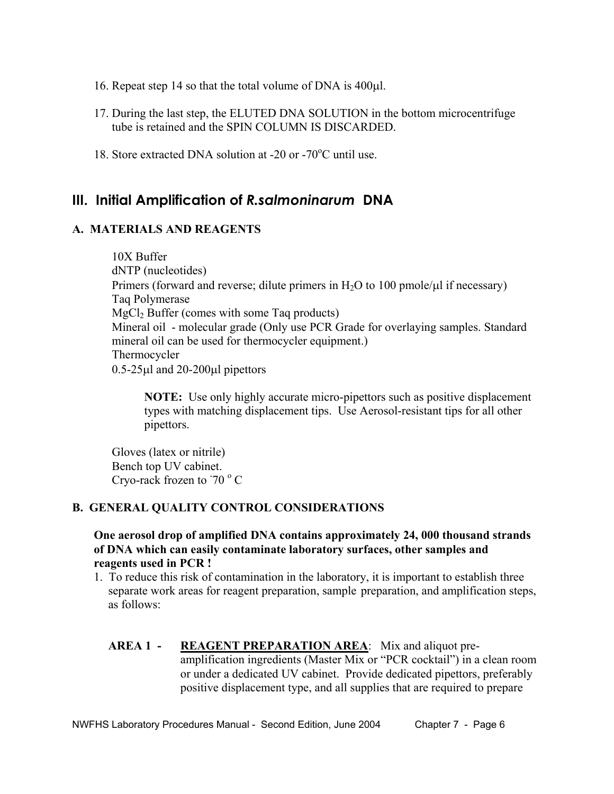- 16. Repeat step 14 so that the total volume of DNA is 400µl.
- 17. During the last step, the ELUTED DNA SOLUTION in the bottom microcentrifuge tube is retained and the SPIN COLUMN IS DISCARDED.
- 18. Store extracted DNA solution at -20 or -70 $\rm{^oC}$  until use.

## **III. Initial Amplification of** *R.salmoninarum* **DNA**

## **A. MATERIALS AND REAGENTS**

 10X Buffer dNTP (nucleotides) Primers (forward and reverse; dilute primers in  $H_2O$  to 100 pmole/ $\mu$ l if necessary) Taq Polymerase MgCl2 Buffer (comes with some Taq products) Mineral oil - molecular grade (Only use PCR Grade for overlaying samples. Standard mineral oil can be used for thermocycler equipment.) Thermocycler 0.5-25µl and 20-200µl pipettors

**NOTE:** Use only highly accurate micro-pipettors such as positive displacement types with matching displacement tips. Use Aerosol-resistant tips for all other pipettors.

 Gloves (latex or nitrile) Bench top UV cabinet. Cryo-rack frozen to  $70^{\circ}$  C

### **B. GENERAL QUALITY CONTROL CONSIDERATIONS**

**One aerosol drop of amplified DNA contains approximately 24, 000 thousand strands of DNA which can easily contaminate laboratory surfaces, other samples and reagents used in PCR !** 

- 1.To reduce this risk of contamination in the laboratory, it is important to establish three separate work areas for reagent preparation, sample preparation, and amplification steps, as follows:
	- **AREA 1 - REAGENT PREPARATION AREA**: Mix and aliquot preamplification ingredients (Master Mix or "PCR cocktail") in a clean room or under a dedicated UV cabinet. Provide dedicated pipettors, preferably positive displacement type, and all supplies that are required to prepare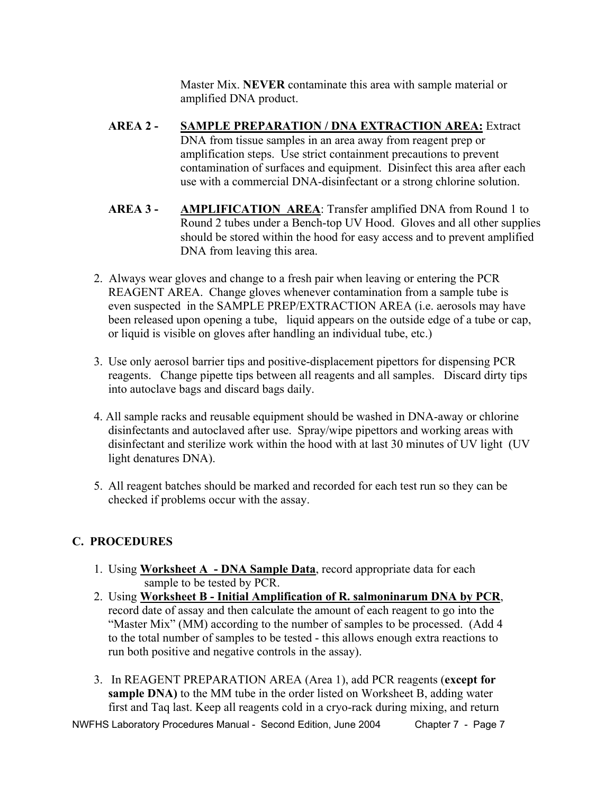Master Mix. **NEVER** contaminate this area with sample material or amplified DNA product.

- **AREA 2 - SAMPLE PREPARATION / DNA EXTRACTION AREA:** Extract DNA from tissue samples in an area away from reagent prep or amplification steps. Use strict containment precautions to prevent contamination of surfaces and equipment. Disinfect this area after each use with a commercial DNA-disinfectant or a strong chlorine solution.
- **AREA 3 - AMPLIFICATION AREA**: Transfer amplified DNA from Round 1 to Round 2 tubes under a Bench-top UV Hood. Gloves and all other supplies should be stored within the hood for easy access and to prevent amplified DNA from leaving this area.
- 2. Always wear gloves and change to a fresh pair when leaving or entering the PCR REAGENT AREA. Change gloves whenever contamination from a sample tube is even suspected in the SAMPLE PREP/EXTRACTION AREA (i.e. aerosols may have been released upon opening a tube, liquid appears on the outside edge of a tube or cap, or liquid is visible on gloves after handling an individual tube, etc.)
- 3. Use only aerosol barrier tips and positive-displacement pipettors for dispensing PCR reagents. Change pipette tips between all reagents and all samples. Discard dirty tips into autoclave bags and discard bags daily.
- 4. All sample racks and reusable equipment should be washed in DNA-away or chlorine disinfectants and autoclaved after use. Spray/wipe pipettors and working areas with disinfectant and sterilize work within the hood with at last 30 minutes of UV light (UV light denatures DNA).
- 5. All reagent batches should be marked and recorded for each test run so they can be checked if problems occur with the assay.

## **C. PROCEDURES**

- 1. Using **Worksheet A DNA Sample Data**, record appropriate data for each sample to be tested by PCR.
- 2. Using **Worksheet B Initial Amplification of R. salmoninarum DNA by PCR**, record date of assay and then calculate the amount of each reagent to go into the "Master Mix" (MM) according to the number of samples to be processed. (Add 4 to the total number of samples to be tested - this allows enough extra reactions to run both positive and negative controls in the assay).
- 3. In REAGENT PREPARATION AREA (Area 1), add PCR reagents (**except for sample DNA)** to the MM tube in the order listed on Worksheet B, adding water first and Taq last. Keep all reagents cold in a cryo-rack during mixing, and return

NWFHS Laboratory Procedures Manual - Second Edition, June 2004 Chapter 7 - Page 7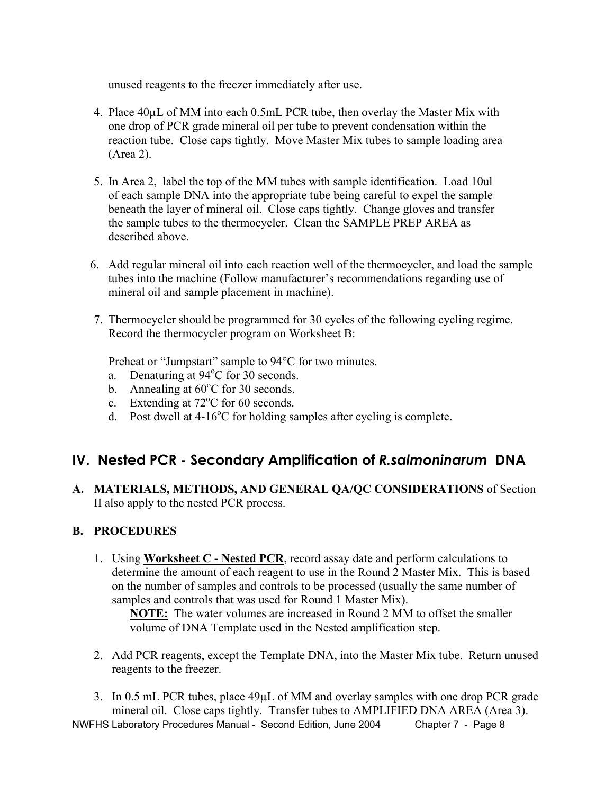unused reagents to the freezer immediately after use.

- 4. Place 40µL of MM into each 0.5mL PCR tube, then overlay the Master Mix with one drop of PCR grade mineral oil per tube to prevent condensation within the reaction tube. Close caps tightly. Move Master Mix tubes to sample loading area (Area 2).
- 5. In Area 2, label the top of the MM tubes with sample identification. Load 10ul of each sample DNA into the appropriate tube being careful to expel the sample beneath the layer of mineral oil. Close caps tightly. Change gloves and transfer the sample tubes to the thermocycler. Clean the SAMPLE PREP AREA as described above.
- 6. Add regular mineral oil into each reaction well of the thermocycler, and load the sample tubes into the machine (Follow manufacturer's recommendations regarding use of mineral oil and sample placement in machine).
- 7. Thermocycler should be programmed for 30 cycles of the following cycling regime. Record the thermocycler program on Worksheet B:

Preheat or "Jumpstart" sample to 94°C for two minutes.

- a. Denaturing at  $94^{\circ}$ C for 30 seconds.
- b. Annealing at  $60^{\circ}$ C for 30 seconds.
- c. Extending at  $72^{\circ}$ C for 60 seconds.
- d. Post dwell at  $4-16^{\circ}$ C for holding samples after cycling is complete.

## **IV. Nested PCR - Secondary Amplification of** *R.salmoninarum* **DNA**

**A. MATERIALS, METHODS, AND GENERAL QA/QC CONSIDERATIONS** of Section II also apply to the nested PCR process.

## **B. PROCEDURES**

 1. Using **Worksheet C - Nested PCR**, record assay date and perform calculations to determine the amount of each reagent to use in the Round 2 Master Mix. This is based on the number of samples and controls to be processed (usually the same number of samples and controls that was used for Round 1 Master Mix).

 **NOTE:** The water volumes are increased in Round 2 MM to offset the smaller volume of DNA Template used in the Nested amplification step.

- 2. Add PCR reagents, except the Template DNA, into the Master Mix tube. Return unused reagents to the freezer.
- NWFHS Laboratory Procedures Manual Second Edition, June 2004 Chapter 7 Page 8 3. In 0.5 mL PCR tubes, place 49µL of MM and overlay samples with one drop PCR grade mineral oil. Close caps tightly. Transfer tubes to AMPLIFIED DNA AREA (Area 3).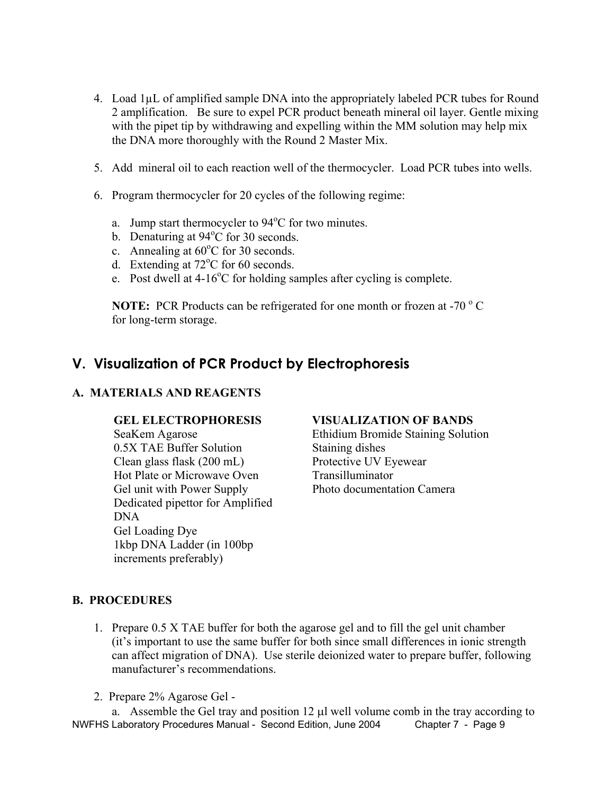- 4. Load 1µL of amplified sample DNA into the appropriately labeled PCR tubes for Round 2 amplification. Be sure to expel PCR product beneath mineral oil layer. Gentle mixing with the pipet tip by withdrawing and expelling within the MM solution may help mix the DNA more thoroughly with the Round 2 Master Mix.
- 5. Add mineral oil to each reaction well of the thermocycler. Load PCR tubes into wells.
- 6. Program thermocycler for 20 cycles of the following regime:
- a. Jump start thermocycler to  $94^{\circ}$ C for two minutes.
- b. Denaturing at  $94^{\circ}$ C for 30 seconds.
- c. Annealing at  $60^{\circ}$ C for 30 seconds.
- d. Extending at  $72^{\circ}$ C for 60 seconds.
- e. Post dwell at  $4\n-16^{\circ}$ C for holding samples after cycling is complete.

**NOTE:** PCR Products can be refrigerated for one month or frozen at -70 $\degree$ C for long-term storage.

# **V. Visualization of PCR Product by Electrophoresis**

## **A. MATERIALS AND REAGENTS**

0.5X TAE Buffer Solution Staining dishes Clean glass flask (200 mL) Protective UV Eyewear Hot Plate or Microwave Oven Transilluminator Gel unit with Power Supply Photo documentation Camera Dedicated pipettor for Amplified DNA Gel Loading Dye 1kbp DNA Ladder (in 100bp increments preferably)

### **GEL ELECTROPHORESIS VISUALIZATION OF BANDS**

SeaKem Agarose Ethidium Bromide Staining Solution

### **B. PROCEDURES**

- 1. Prepare 0.5 X TAE buffer for both the agarose gel and to fill the gel unit chamber (it's important to use the same buffer for both since small differences in ionic strength can affect migration of DNA). Use sterile deionized water to prepare buffer, following manufacturer's recommendations.
- 2. Prepare 2% Agarose Gel -

NWFHS Laboratory Procedures Manual - Second Edition, June 2004 Chapter 7 - Page 9 a. Assemble the Gel tray and position 12 µl well volume comb in the tray according to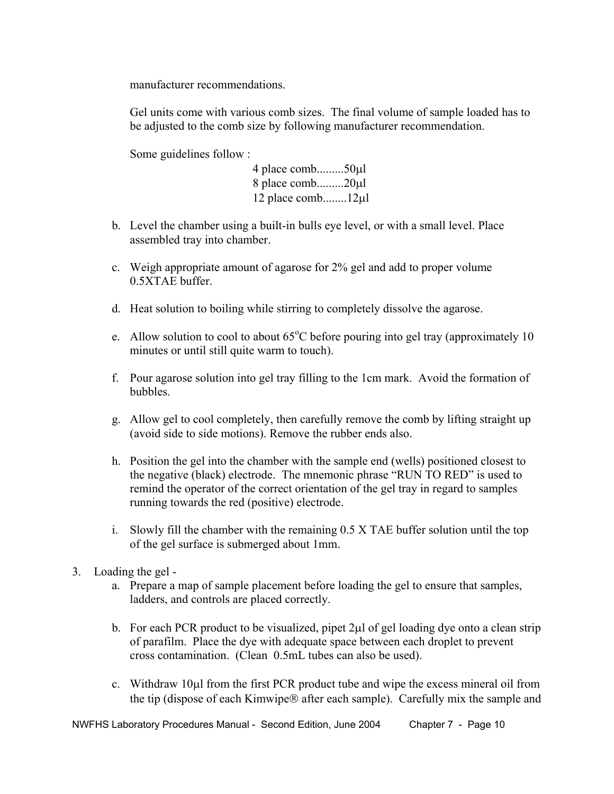manufacturer recommendations.

 Gel units come with various comb sizes. The final volume of sample loaded has to be adjusted to the comb size by following manufacturer recommendation.

Some guidelines follow :

4 place comb.........50µl 8 place comb.........20µl 12 place comb........12µl

- b. Level the chamber using a built-in bulls eye level, or with a small level. Place assembled tray into chamber.
- c. Weigh appropriate amount of agarose for 2% gel and add to proper volume 0.5XTAE buffer.
- d. Heat solution to boiling while stirring to completely dissolve the agarose.
- e. Allow solution to cool to about  $65^{\circ}$ C before pouring into gel tray (approximately 10 minutes or until still quite warm to touch).
	- f. Pour agarose solution into gel tray filling to the 1cm mark. Avoid the formation of bubbles.
	- g. Allow gel to cool completely, then carefully remove the comb by lifting straight up (avoid side to side motions). Remove the rubber ends also.
	- h. Position the gel into the chamber with the sample end (wells) positioned closest to the negative (black) electrode. The mnemonic phrase "RUN TO RED" is used to remind the operator of the correct orientation of the gel tray in regard to samples running towards the red (positive) electrode.
	- i. Slowly fill the chamber with the remaining 0.5 X TAE buffer solution until the top of the gel surface is submerged about 1mm.
- 3. Loading the gel
	- a. Prepare a map of sample placement before loading the gel to ensure that samples, ladders, and controls are placed correctly.
	- b. For each PCR product to be visualized, pipet 2µl of gel loading dye onto a clean strip of parafilm. Place the dye with adequate space between each droplet to prevent cross contamination. (Clean 0.5mL tubes can also be used).
	- c. Withdraw 10µl from the first PCR product tube and wipe the excess mineral oil from the tip (dispose of each Kimwipe $\circledR$  after each sample). Carefully mix the sample and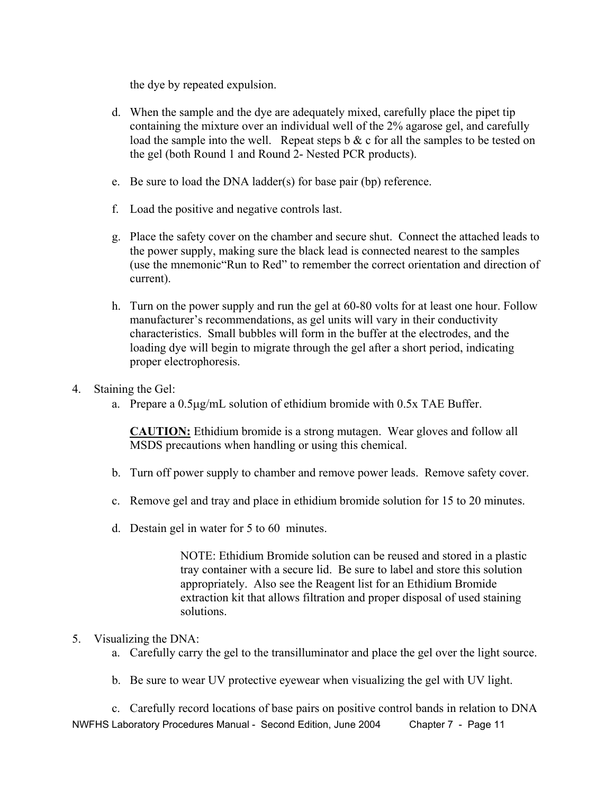the dye by repeated expulsion.

- d. When the sample and the dye are adequately mixed, carefully place the pipet tip containing the mixture over an individual well of the 2% agarose gel, and carefully load the sample into the well. Repeat steps  $\mathfrak b \& c$  for all the samples to be tested on the gel (both Round 1 and Round 2- Nested PCR products).
- e. Be sure to load the DNA ladder(s) for base pair (bp) reference.
- f. Load the positive and negative controls last.
- g. Place the safety cover on the chamber and secure shut. Connect the attached leads to the power supply, making sure the black lead is connected nearest to the samples (use the mnemonic"Run to Red" to remember the correct orientation and direction of current).
- h. Turn on the power supply and run the gel at 60-80 volts for at least one hour. Follow manufacturer's recommendations, as gel units will vary in their conductivity characteristics. Small bubbles will form in the buffer at the electrodes, and the loading dye will begin to migrate through the gel after a short period, indicating proper electrophoresis.
- 4. Staining the Gel:
	- a. Prepare a 0.5µg/mL solution of ethidium bromide with 0.5x TAE Buffer.

 **CAUTION:** Ethidium bromide is a strong mutagen. Wear gloves and follow all MSDS precautions when handling or using this chemical.

- b. Turn off power supply to chamber and remove power leads. Remove safety cover.
- c. Remove gel and tray and place in ethidium bromide solution for 15 to 20 minutes.
- d. Destain gel in water for 5 to 60 minutes.

 NOTE: Ethidium Bromide solution can be reused and stored in a plastic tray container with a secure lid. Be sure to label and store this solution appropriately. Also see the Reagent list for an Ethidium Bromide extraction kit that allows filtration and proper disposal of used staining solutions.

### 5. Visualizing the DNA:

- a. Carefully carry the gel to the transilluminator and place the gel over the light source.
- b. Be sure to wear UV protective eyewear when visualizing the gel with UV light.

NWFHS Laboratory Procedures Manual - Second Edition, June 2004 Chapter 7 - Page 11 c. Carefully record locations of base pairs on positive control bands in relation to DNA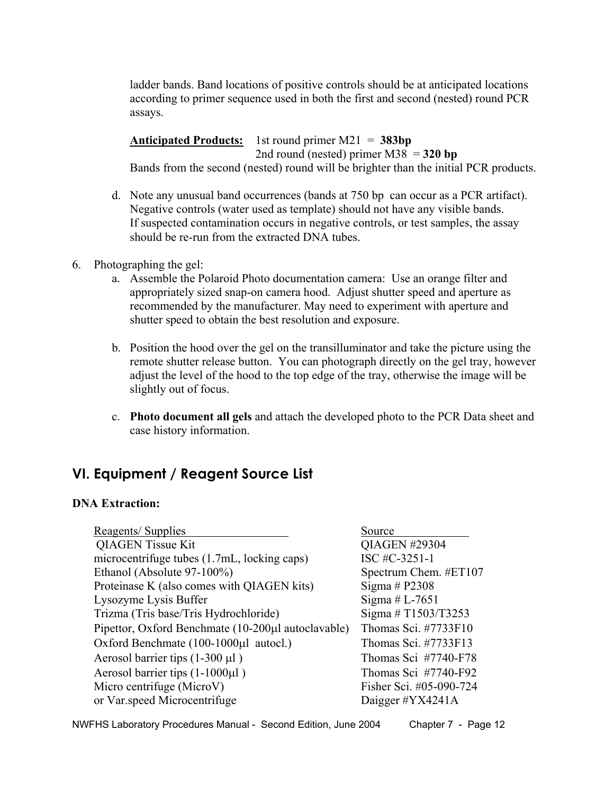ladder bands. Band locations of positive controls should be at anticipated locations according to primer sequence used in both the first and second (nested) round PCR assays.

**Anticipated Products:** 1st round primer M21 = **383bp** 2nd round (nested) primer  $M38 = 320$  bp Bands from the second (nested) round will be brighter than the initial PCR products.

- d. Note any unusual band occurrences (bands at 750 bp can occur as a PCR artifact). Negative controls (water used as template) should not have any visible bands. If suspected contamination occurs in negative controls, or test samples, the assay should be re-run from the extracted DNA tubes.
- 6. Photographing the gel:
	- a. Assemble the Polaroid Photo documentation camera: Use an orange filter and appropriately sized snap-on camera hood. Adjust shutter speed and aperture as recommended by the manufacturer. May need to experiment with aperture and shutter speed to obtain the best resolution and exposure.
	- b. Position the hood over the gel on the transilluminator and take the picture using the remote shutter release button. You can photograph directly on the gel tray, however adjust the level of the hood to the top edge of the tray, otherwise the image will be slightly out of focus.
	- c. **Photo document all gels** and attach the developed photo to the PCR Data sheet and case history information.

# **VI. Equipment / Reagent Source List**

### **DNA Extraction:**

| Reagents/Supplies                                  | Source                  |
|----------------------------------------------------|-------------------------|
| <b>QIAGEN Tissue Kit</b>                           | <b>QIAGEN #29304</b>    |
| microcentrifuge tubes (1.7mL, locking caps)        | ISC #C-3251-1           |
| Ethanol (Absolute 97-100%)                         | Spectrum Chem. #ET107   |
| Proteinase K (also comes with QIAGEN kits)         | Sigma # $P2308$         |
| Lysozyme Lysis Buffer                              | Sigma # $L-7651$        |
| Trizma (Tris base/Tris Hydrochloride)              | Sigma # $T1503/T3253$   |
| Pipettor, Oxford Benchmate (10-200µl autoclavable) | Thomas Sci. #7733F10    |
| Oxford Benchmate (100-1000µl autocl.)              | Thomas Sci. #7733F13    |
| Aerosol barrier tips $(1-300 \mu l)$               | Thomas Sci $#7740-F78$  |
| Aerosol barrier tips $(1-1000\mu l)$               | Thomas Sci $#7740-F92$  |
| Micro centrifuge (MicroV)                          | Fisher Sci. #05-090-724 |
| or Var.speed Microcentrifuge                       | Daigger #YX4241A        |

NWFHS Laboratory Procedures Manual - Second Edition, June 2004 Chapter 7 - Page 12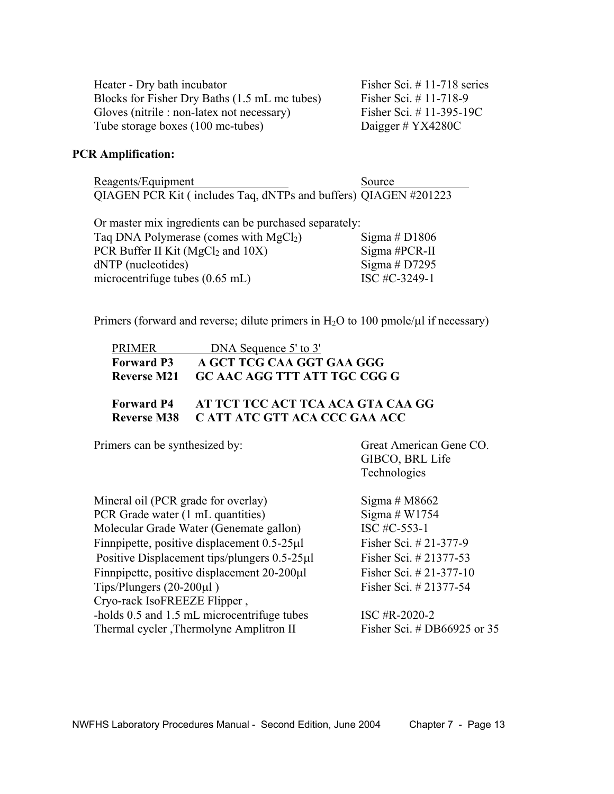Heater - Dry bath incubator Fisher Sci. # 11-718 series Blocks for Fisher Dry Baths (1.5 mL mc tubes) Fisher Sci. # 11-718-9 Gloves (nitrile : non-latex not necessary) Fisher Sci. # 11-395-19C Tube storage boxes (100 mc-tubes) Daigger # YX4280C

### **PCR Amplification:**

Reagents/Equipment Source QIAGEN PCR Kit ( includes Taq, dNTPs and buffers) QIAGEN #201223

| Or master mix ingredients can be purchased separately: |               |
|--------------------------------------------------------|---------------|
| Taq DNA Polymerase (comes with $MgCl2$ )               | Sigma # D1806 |
| PCR Buffer II Kit (MgCl <sub>2</sub> and 10X)          | Sigma #PCR-II |
| dNTP (nucleotides)                                     | Sigma # D7295 |
| microcentrifuge tubes $(0.65 \text{ mL})$              | ISC #C-3249-1 |

Primers (forward and reverse; dilute primers in  $H<sub>2</sub>O$  to 100 pmole/ $\mu$ l if necessary)

| <b>PRIMER</b>     | DNA Sequence 5' to 3'                    |
|-------------------|------------------------------------------|
| <b>Forward P3</b> | A GCT TCG CAA GGT GAA GGG                |
|                   | Reverse M21 GC AAC AGG TTT ATT TGC CGG G |

### **Forward P4 AT TCT TCC ACT TCA ACA GTA CAA GG Reverse M38 C ATT ATC GTT ACA CCC GAA ACC**

Primers can be synthesized by: Great American Gene CO.

 GIBCO, BRL Life Technologies

Mineral oil (PCR grade for overlay) Sigma # M8662 PCR Grade water (1 mL quantities) Sigma # W1754 Molecular Grade Water (Genemate gallon) ISC #C-553-1 Finnpipette, positive displacement 0.5-25 $\mu$ l Fisher Sci. # 21-377-9 Positive Displacement tips/plungers 0.5-25 ul Fisher Sci. # 21377-53 Finnpipette, positive displacement 20-200µl Fisher Sci. # 21-377-10  $Tips/Plungers (20-200µl)$  Fisher Sci. # 21377-54 Cryo-rack IsoFREEZE Flipper , -holds 0.5 and 1.5 mL microcentrifuge tubes ISC #R-2020-2 Thermal cycler ,Thermolyne Amplitron II Fisher Sci. # DB66925 or 35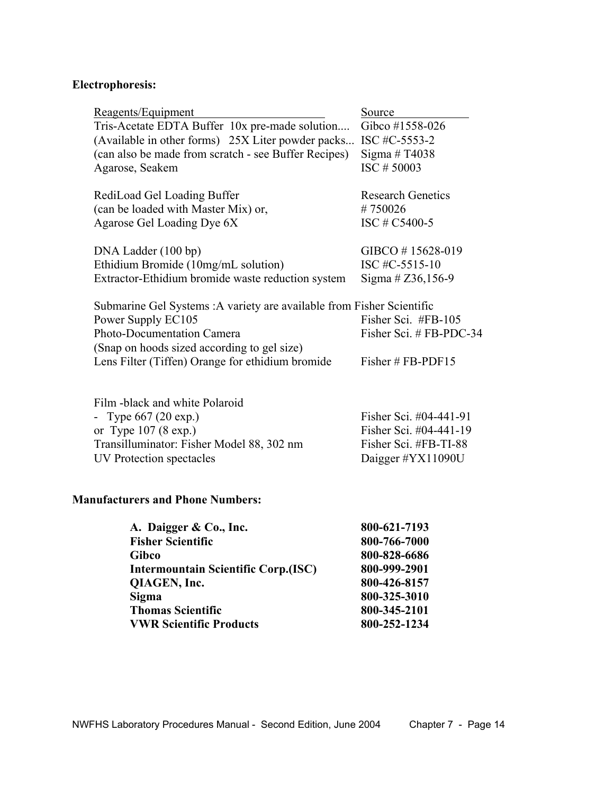## **Electrophoresis:**

| Reagents/Equipment                                                    | Source                    |
|-----------------------------------------------------------------------|---------------------------|
| Tris-Acetate EDTA Buffer 10x pre-made solution                        | Gibco #1558-026           |
| (Available in other forms) 25X Liter powder packs                     | ISC #C-5553-2             |
| (can also be made from scratch - see Buffer Recipes)                  | Sigma # $T4038$           |
| Agarose, Seakem                                                       | ISC #50003                |
| RediLoad Gel Loading Buffer                                           | <b>Research Genetics</b>  |
| (can be loaded with Master Mix) or,                                   | #750026                   |
| Agarose Gel Loading Dye 6X                                            | ISC # C5400-5             |
| DNA Ladder (100 bp)                                                   | GIBCO $\#$ 15628-019      |
| Ethidium Bromide (10mg/mL solution)                                   | ISC #C-5515-10            |
| Extractor-Ethidium bromide waste reduction system                     | Sigma # $Z36,156-9$       |
| Submarine Gel Systems: A variety are available from Fisher Scientific |                           |
| Power Supply EC105                                                    | Fisher Sci. #FB-105       |
| Photo-Documentation Camera                                            | Fisher Sci. $#$ FB-PDC-34 |
| (Snap on hoods sized according to gel size)                           |                           |
| Lens Filter (Tiffen) Orange for ethidium bromide                      | Fisher # FB-PDF15         |
| Film -black and white Polaroid                                        |                           |
| Type 667 (20 exp.)                                                    | Fisher Sci. $\#04-441-91$ |
| or Type $107(8 \text{ exp.})$                                         | Fisher Sci. #04-441-19    |
| Transilluminator: Fisher Model 88, 302 nm                             | Fisher Sci. #FB-TI-88     |
| <b>UV</b> Protection spectacles                                       | Daigger #YX11090U         |
|                                                                       |                           |

## **Manufacturers and Phone Numbers:**

| A. Daigger & Co., Inc.                     | 800-621-7193 |
|--------------------------------------------|--------------|
| <b>Fisher Scientific</b>                   | 800-766-7000 |
| <b>Gibco</b>                               | 800-828-6686 |
| <b>Intermountain Scientific Corp.(ISC)</b> | 800-999-2901 |
| QIAGEN, Inc.                               | 800-426-8157 |
| Sigma                                      | 800-325-3010 |
| <b>Thomas Scientific</b>                   | 800-345-2101 |
| <b>VWR Scientific Products</b>             | 800-252-1234 |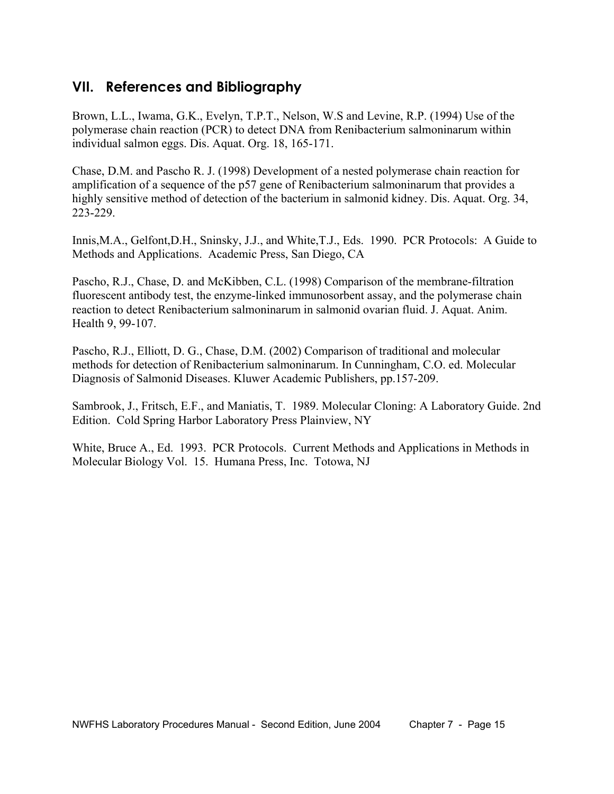# **VII. References and Bibliography**

Brown, L.L., Iwama, G.K., Evelyn, T.P.T., Nelson, W.S and Levine, R.P. (1994) Use of the polymerase chain reaction (PCR) to detect DNA from Renibacterium salmoninarum within individual salmon eggs. Dis. Aquat. Org. 18, 165-171.

Chase, D.M. and Pascho R. J. (1998) Development of a nested polymerase chain reaction for amplification of a sequence of the p57 gene of Renibacterium salmoninarum that provides a highly sensitive method of detection of the bacterium in salmonid kidney. Dis. Aquat. Org. 34, 223-229.

Innis,M.A., Gelfont,D.H., Sninsky, J.J., and White,T.J., Eds. 1990. PCR Protocols: A Guide to Methods and Applications. Academic Press, San Diego, CA

Pascho, R.J., Chase, D. and McKibben, C.L. (1998) Comparison of the membrane-filtration fluorescent antibody test, the enzyme-linked immunosorbent assay, and the polymerase chain reaction to detect Renibacterium salmoninarum in salmonid ovarian fluid. J. Aquat. Anim. Health 9, 99-107.

Pascho, R.J., Elliott, D. G., Chase, D.M. (2002) Comparison of traditional and molecular methods for detection of Renibacterium salmoninarum. In Cunningham, C.O. ed. Molecular Diagnosis of Salmonid Diseases. Kluwer Academic Publishers, pp.157-209.

Sambrook, J., Fritsch, E.F., and Maniatis, T. 1989. Molecular Cloning: A Laboratory Guide. 2nd Edition. Cold Spring Harbor Laboratory Press Plainview, NY

White, Bruce A., Ed. 1993. PCR Protocols. Current Methods and Applications in Methods in Molecular Biology Vol. 15. Humana Press, Inc. Totowa, NJ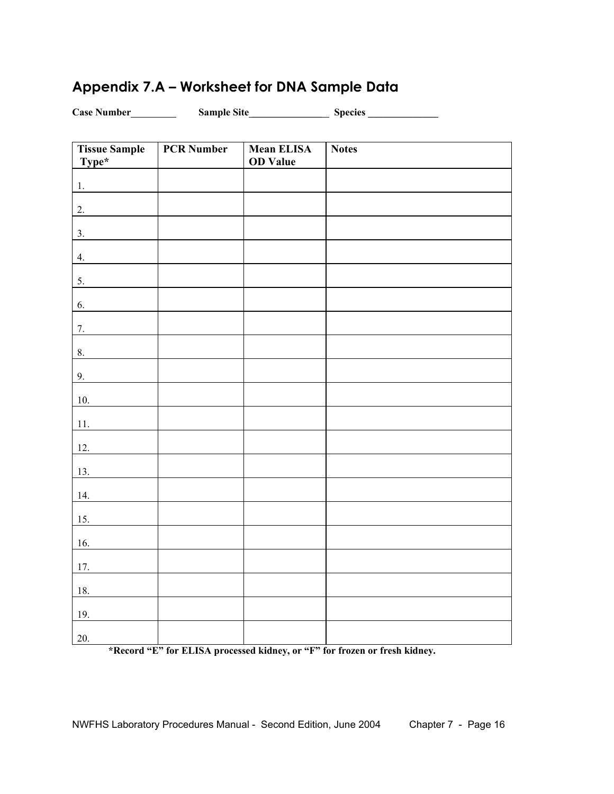# **Appendix 7.A – Worksheet for DNA Sample Data**

Case Number Sample Site Sample Site

| <b>Tissue Sample</b><br>Type* | <b>PCR Number</b> | <b>Mean ELISA</b><br><b>OD</b> Value | <b>Notes</b> |
|-------------------------------|-------------------|--------------------------------------|--------------|
| 1.                            |                   |                                      |              |
| 2.                            |                   |                                      |              |
| 3.                            |                   |                                      |              |
| 4.                            |                   |                                      |              |
| 5.                            |                   |                                      |              |
| 6.                            |                   |                                      |              |
| 7.                            |                   |                                      |              |
| 8.                            |                   |                                      |              |
| 9.                            |                   |                                      |              |
| 10.                           |                   |                                      |              |
| $11.$                         |                   |                                      |              |
| 12.                           |                   |                                      |              |
| 13.                           |                   |                                      |              |
| 14.                           |                   |                                      |              |
| 15.                           |                   |                                      |              |
| 16.                           |                   |                                      |              |
| 17.                           |                   |                                      |              |
| 18.                           |                   |                                      |              |
| 19.                           |                   |                                      |              |
| 20.                           |                   |                                      |              |

 **\*Record "E" for ELISA processed kidney, or "F" for frozen or fresh kidney.**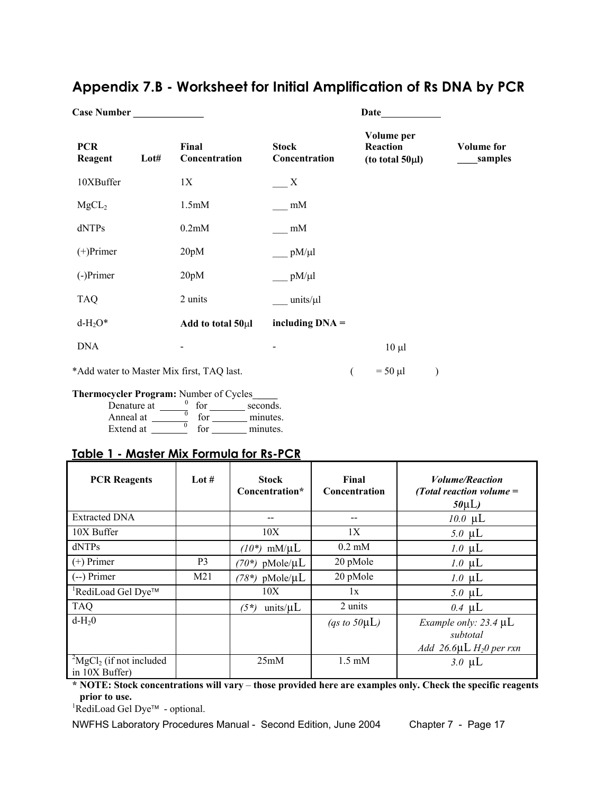### **Case Number \_\_\_\_\_\_\_\_\_\_\_\_\_\_ Date PCR Reagent Lot# Final Concentration Stock Concentration Volume per Reaction (to total 50**µ**l) Volume for \_\_\_\_samples**  10XBuffer  $1X$   $X$  $MgCL<sub>2</sub>$  1.5mM \_\_ mM dNTPs  $0.2 \text{mM}$  mM (+)Primer  $20pM$   $\qquad \qquad$   $\qquad pM/\mu$ (-)Primer  $20pM$   $pM/µ$ TAQ 2 units \_\_\_ units/µl d-H2O\* **Add to total 50**µ**l including DNA =**  $DNA$   $10 \mu l$

## **Appendix 7.B - Worksheet for Initial Amplification of Rs DNA by PCR**

\*Add water to Master Mix first, TAQ last.  $( = 50 \mu l )$ 

### **Thermocycler Program:** Number of Cycles

| Denature at | ć٥r | seconds. |
|-------------|-----|----------|
| Anneal at   | for | minutes. |
|             |     |          |

| Extend at | for | minutes. |
|-----------|-----|----------|
|           |     |          |

## **Table 1 - Master Mix Formula for Rs-PCR**

| <b>PCR Reagents</b>                                         | Lot $#$         | <b>Stock</b><br>Concentration* | Final<br><b>Concentration</b> | <i><b>Volume/Reaction</b></i><br>(Total reaction volume $=$<br>$50 \mu L$                  |
|-------------------------------------------------------------|-----------------|--------------------------------|-------------------------------|--------------------------------------------------------------------------------------------|
| <b>Extracted DNA</b>                                        |                 | --                             |                               | $10.0 \mu L$                                                                               |
| 10X Buffer                                                  |                 | 10X                            | 1X                            | $5.0 \mu L$                                                                                |
| dNTPs                                                       |                 | $(10^*)$ mM/ $\mu$ L           | $0.2 \text{ mM}$              | 1.0 $\mu$ L                                                                                |
| $(+)$ Primer                                                | P <sub>3</sub>  | $p$ Mole/ $\mu$ L<br>$(70^*)$  | 20 pMole                      | $1.0 \mu L$                                                                                |
| $(-)$ Primer                                                | M <sub>21</sub> | $p$ Mole/ $\mu$ L<br>$(78^*)$  | 20 pMole                      | 1.0 $\mu$ L                                                                                |
| <sup>1</sup> RediLoad Gel Dye <sup>™</sup>                  |                 | 10X                            | 1x                            | $5.0 \mu L$                                                                                |
| <b>TAQ</b>                                                  |                 | units/ $\mu L$<br>$(5^*)$      | 2 units                       | $0.4 \mu L$                                                                                |
| $d-H20$                                                     |                 |                                | (qs to $50 \mu L$ )           | <i>Example only: 23.4</i> $\mu L$<br>subtotal<br>Add 26.6 $\mu$ L H <sub>2</sub> 0 per rxn |
| $^{2}$ MgCl <sub>2</sub> (if not included<br>in 10X Buffer) |                 | 25mM                           | $1.5 \text{ mM}$              | $3.0 \mu L$                                                                                |

**\* NOTE: Stock concentrations will vary** – **those provided here are examples only. Check the specific reagents prior to use.** 

<sup>1</sup>RediLoad Gel Dye<sup>™</sup> - optional.

NWFHS Laboratory Procedures Manual - Second Edition, June 2004 Chapter 7 - Page 17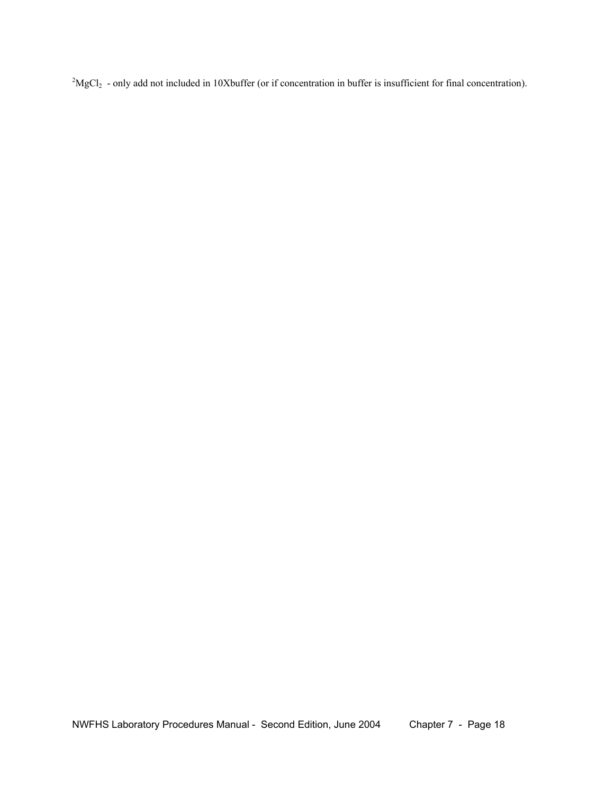${}^{2}MgCl_{2}$  - only add not included in 10Xbuffer (or if concentration in buffer is insufficient for final concentration).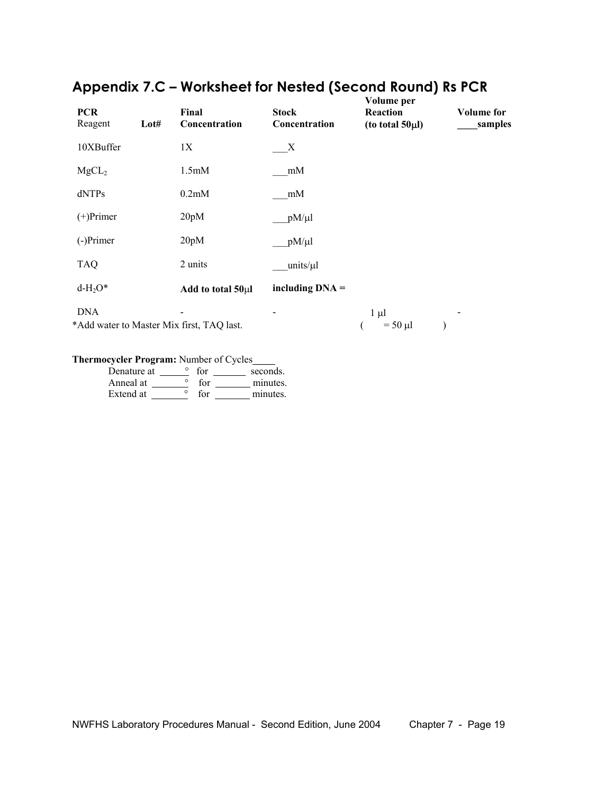| <b>PCR</b><br>Reagent | Lot# | Final<br>Concentration                    | <b>Stock</b><br>Concentration | Volume per<br>Reaction<br>(to total $50\mu$ ) | <b>Volume for</b><br>samples |
|-----------------------|------|-------------------------------------------|-------------------------------|-----------------------------------------------|------------------------------|
| 10XBuffer             |      | 1X                                        | X                             |                                               |                              |
| MgCL <sub>2</sub>     |      | 1.5 <sub>m</sub> M                        | mM                            |                                               |                              |
| dNTPs                 |      | 0.2 <sub>m</sub> M                        | mM                            |                                               |                              |
| $(+)$ Primer          |      | 20pM                                      | $pM/ \mu l$                   |                                               |                              |
| $(-)$ Primer          |      | 20pM                                      | $pM/ \mu l$                   |                                               |                              |
| <b>TAQ</b>            |      | 2 units                                   | units/µl                      |                                               |                              |
| $d-H_2O^*$            |      | Add to total 50µl                         | including $DNA =$             |                                               |                              |
| <b>DNA</b>            |      | *Add water to Master Mix first, TAQ last. |                               | $1 \mu l$<br>$= 50 \mu l$                     |                              |

# **Appendix 7.C – Worksheet for Nested (Second Round) Rs PCR**

### **Thermocycler Program: Number of Cycles\_\_\_\_\_**

| Denature at | for | seconds. |
|-------------|-----|----------|
| Anneal at   | for | minutes. |
| Extend at   | for | minutes. |